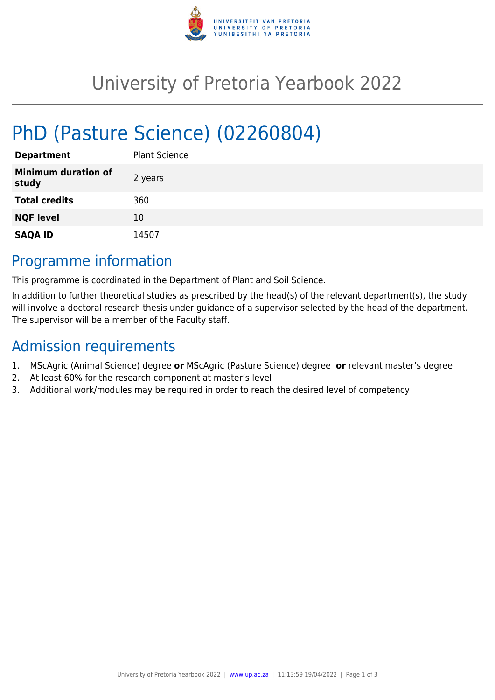

# University of Pretoria Yearbook 2022

# PhD (Pasture Science) (02260804)

| <b>Department</b>                   | <b>Plant Science</b> |
|-------------------------------------|----------------------|
| <b>Minimum duration of</b><br>study | 2 years              |
| <b>Total credits</b>                | 360                  |
| <b>NQF level</b>                    | 10                   |
| <b>SAQA ID</b>                      | 14507                |

### Programme information

This programme is coordinated in the Department of Plant and Soil Science.

In addition to further theoretical studies as prescribed by the head(s) of the relevant department(s), the study will involve a doctoral research thesis under guidance of a supervisor selected by the head of the department. The supervisor will be a member of the Faculty staff.

## Admission requirements

- 1. MScAgric (Animal Science) degree **or** MScAgric (Pasture Science) degree **or** relevant master's degree
- 2. At least 60% for the research component at master's level
- 3. Additional work/modules may be required in order to reach the desired level of competency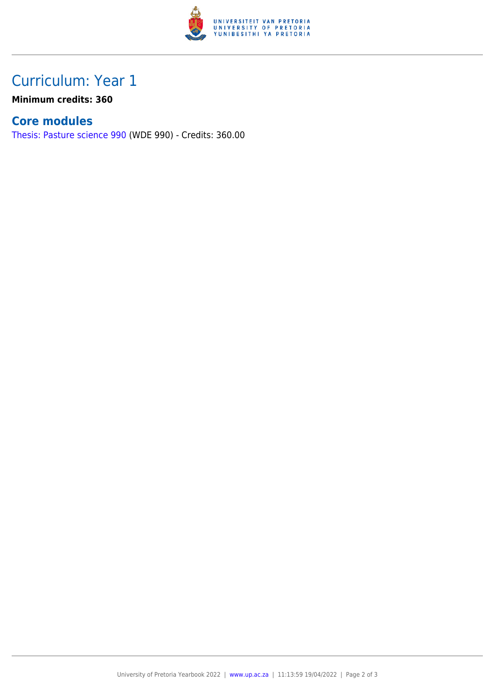

## Curriculum: Year 1

**Minimum credits: 360**

#### **Core modules**

[Thesis: Pasture science 990](https://www.up.ac.za/yearbooks/2022/modules/view/WDE 990) (WDE 990) - Credits: 360.00